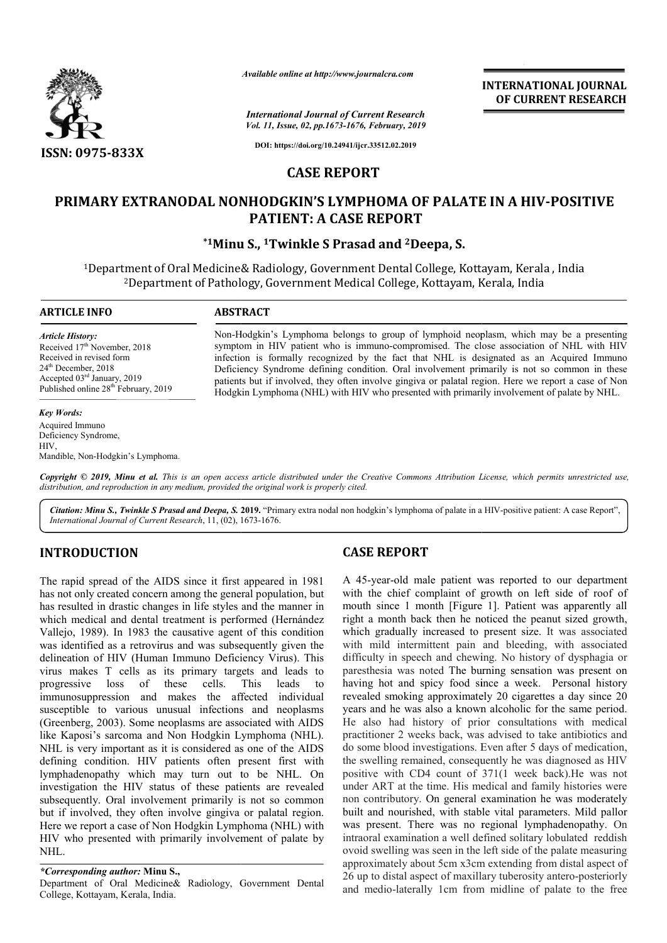

*Available online at http://www.journalcra.com*

*International Journal of Current Research Vol. 11, Issue, 02, pp.1673-1676, February, 2019* **INTERNATIONAL JOURNAL OF CURRENT RESEARCH**

**DOI: https://doi.org/10.24941/ijcr.33512.02.2019**

## **CASE REPORT**

# **PRIMARY EXTRANODAL NONHODGKIN'S LYMPHOMA OF PALATE IN A HIV IN A HIV-POSITIVE PATIENT: A CASE REPORT**

# **\*1Minu S., Minu 1Twinkle S Prasad and 2Deepa, S.**

<sup>1</sup>Department of Oral Medicine& Radiology, Government Dental College, Kottayam, Kerala , India<br><sup>2</sup>Department of Pathology, Government Medical College, Kottayam, Kerala, India 2Department of Pathology, Government Medical College, Kottayam, Kerala, India Medical College,

#### **ARTICLE INFO ABSTRACT**

*Article History:* Received 17<sup>th</sup> November, 2018 Received in revised form 24<sup>th</sup> December, 2018 Accepted 03rd January, 2019 Published online 28<sup>th</sup> February, 2019

#### *Key Words:*

Acquired Immuno Deficiency Syndrome, HIV, Mandible, Non-Hodgkin's Lymphoma. Non-Hodgkin's Lymphoma belongs to group of lymphoid neoplasm, which may be a presenting Non-Hodgkin's Lymphoma belongs to group of lymphoid neoplasm, which may be a presenting<br>symptom in HIV patient who is immuno-compromised. The close association of NHL with HIV infection is formally recognized by the fact that NHL is designated as an Acquired Immuno Deficiency Syndrome defining condition. Oral involvement primarily is not so common in these patients but if involved, they often involve gingiva or palatal region. H Hodgkin Lymphoma (NHL) with HIV who presented with primarily involvement of palate by NHL. Non-Hodgkin's Lymphoma belongs to group of lymphoid neoplasm, which may be a presenting symptom in HIV patient who is immuno-compromised. The close association of NHL with HIV infection is formally recognized by the fact t

Copyright © 2019, Minu et al. This is an open access article distributed under the Creative Commons Attribution License, which permits unrestricted use, *distribution, and reproduction in any medium, provided the original work is properly cited.*

Citation: Minu S., Twinkle S Prasad and Deepa, S. 2019. "Primary extra nodal non hodgkin's lymphoma of palate in a HIV-positive patient: A case Report", *International Journal of Current Research*, 11, (02), 1673 1673-1676.

# **INTRODUCTION**

The rapid spread of the AIDS since it first appeared in 1981 has not only created concern among the general population, but has resulted in drastic changes in life styles and the manner in which medical and dental treatment is performed ( (Hernández Vallejo, 1989). In 1983 the causative agent of this condition was identified as a retrovirus and was subsequently given the delineation of HIV (Human Immuno Deficiency Virus). This virus makes T cells as its primary targets and leads to progressive loss of these cells. This leads to immunosuppression and makes the affected individual susceptible to various unusual infections and neoplasms (Greenberg, 2003). Some neoplasms are associated with AIDS like Kaposi's sarcoma and Non Hodgkin Lymphoma (NHL). NHL is very important as it is considered as one of the AIDS defining condition. HIV patients often present first with lymphadenopathy which may turn out to be NHL. On investigation the HIV status of these patients are revealed subsequently. Oral involvement primarily is not so common but if involved, they often involve gingiva or palatal region. Here we report a case of Non Hodgkin Lymphoma (NHL) with HIV who presented with primarily involvement of palate by NHL. ). In 1983 the causative agent of this condition I as a retrovirus and was subsequently given the HIV (Human Immuno Deficiency Virus). This T cells as its primary targets and leads to loss of these cells. This leads to los

### *\*Corresponding author:* **Minu S.,**

Department of Oral Medicine& Radiology, Government Dental College, Kottayam, Kerala, India.

# **CASE REPORT**

A 45-year-old male patient was reported to our department with the chief complaint of growth on left side of roof of mouth since 1 month [Figure 1]. Patient was apparently all right a month back then he noticed the peanut sized growth, which gradually increased to present size. It was associated with mild intermittent pain and bleeding, with associated difficulty in speech and chewing. No history of dysphagia or paresthesia was noted The burning sensation was present on having hot and spicy food since a week. Personal history revealed smoking approximately 20 cigarettes a day since 20 years and he was also a known alcoholic for the same period. He also had history of prior consultations with medical revealed smoking approximately 20 cigarettes a day since 20 years and he was also a known alcoholic for the same period.<br>He also had history of prior consultations with medical practitioner 2 weeks back, was advised to tak do some blood investigations. Even after 5 days of medication, the swelling remained, consequently he was diagnosed as HIV positive with CD4 count of 371(1 week back).He was not under ART at the time. His medical and family histories were non contributory. On general examination he was moderately built and nourished, with stable vital parameters. Mild pallor was present. There was no regional lymphadenopathy. intraoral examination a well defined solitary lobulated reddish ovoid swelling was seen in the left side of the palate measuring approximately about 5cm x3cm extending from distal aspect of 26 up to distal aspect of maxillary tuberosity antero-posteriorly and medio-laterally 1cm from midline of palate to the free -year-old male patient was reported to our department<br>the chief complaint of growth on left side of roof of<br>1 since 1 month [Figure 1]. Patient was apparently all<br>1 a month back then he noticed the peanut sized growth,<br>1 g intermittent pain and bleeding, with associated<br>speech and chewing. No history of dysphagia or<br>was noted The burning sensation was present on<br>and spicy food since a week. Personal history some blood investigations. Even after 5 days of medication, swelling remained, consequently he was diagnosed as HIV itive with CD4 count of 371(1 week back).He was not er ART at the time. His medical and family histories w **INTERNATIONAL JOURNAL**<br> **INTERNATIONAL JOURNAL**<br> **IDENTIFY (a)**<br> **IDENTIFY (a)**<br> **IA OF PALATE IN A HIV-POSITIVE**<br> **IA OF PALATE IN A HIV-POSITIVE**<br> **IA 20199**<br> **IA OF PALATE IN A HIV-POSITIVE**<br> **IA 20209**<br> **IA 20209**<br> **I**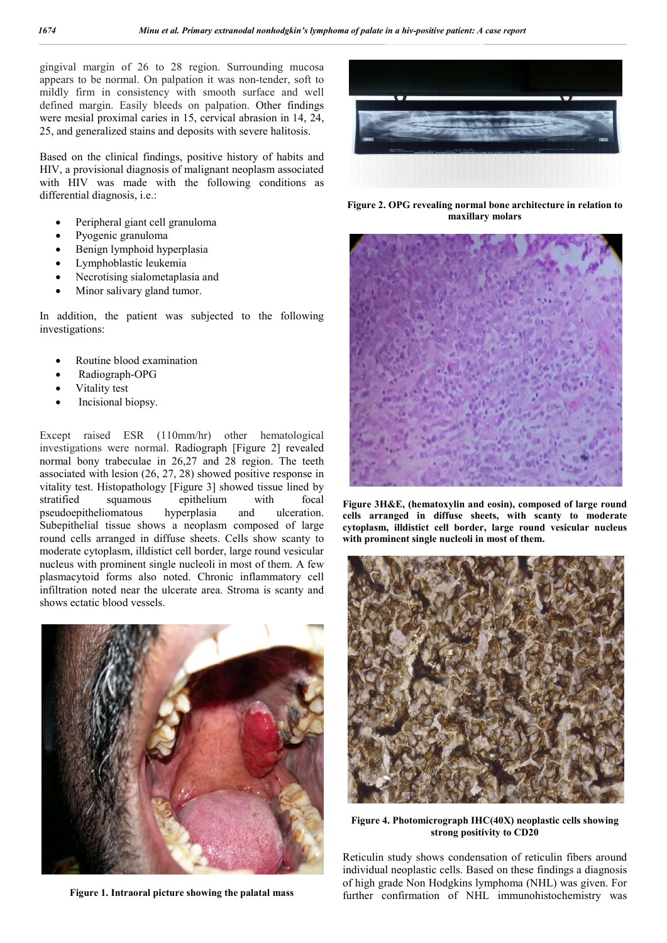gingival margin of 26 to 28 region. Surrounding mucosa appears to be normal. On palpation it was non-tender, soft to mildly firm in consistency with smooth surface and well defined margin. Easily bleeds on palpation. Other findings were mesial proximal caries in 15, cervical abrasion in 14, 24, 25, and generalized stains and deposits with severe halitosis.

Based on the clinical findings, positive history of habits and HIV, a provisional diagnosis of malignant neoplasm associated with HIV was made with the following conditions as differential diagnosis, i.e.:

- Peripheral giant cell granuloma
- Pyogenic granuloma
- Benign lymphoid hyperplasia
- Lymphoblastic leukemia
- Necrotising sialometaplasia and
- Minor salivary gland tumor.

In addition, the patient was subjected to the following investigations:

- Routine blood examination
- Radiograph-OPG
- Vitality test
- Incisional biopsy.

Except raised ESR (110mm/hr) other hematological investigations were normal. Radiograph [Figure 2] revealed normal bony trabeculae in 26,27 and 28 region. The teeth associated with lesion (26, 27, 28) showed positive response in vitality test. Histopathology [Figure 3] showed tissue lined by stratified squamous epithelium with focal pseudoepitheliomatous hyperplasia and ulceration. Subepithelial tissue shows a neoplasm composed of large round cells arranged in diffuse sheets. Cells show scanty to moderate cytoplasm, illdistict cell border, large round vesicular nucleus with prominent single nucleoli in most of them. A few plasmacytoid forms also noted. Chronic inflammatory cell infiltration noted near the ulcerate area. Stroma is scanty and shows ectatic blood vessels.



**Figure 1. Intraoral picture showing the palatal mass**



**Figure 2. OPG revealing normal bone architecture in relation to maxillary molars**



**Figure 3H&E, (hematoxylin and eosin), composed of large round cells arranged in diffuse sheets, with scanty to moderate cytoplasm, illdistict cell border, large round vesicular nucleus with prominent single nucleoli in most of them.**



**Figure 4. Photomicrograph IHC(40X) neoplastic cells showing strong positivity to CD20**

Reticulin study shows condensation of reticulin fibers around individual neoplastic cells. Based on these findings a diagnosis of high grade Non Hodgkins lymphoma (NHL) was given. For further confirmation of NHL immunohistochemistry was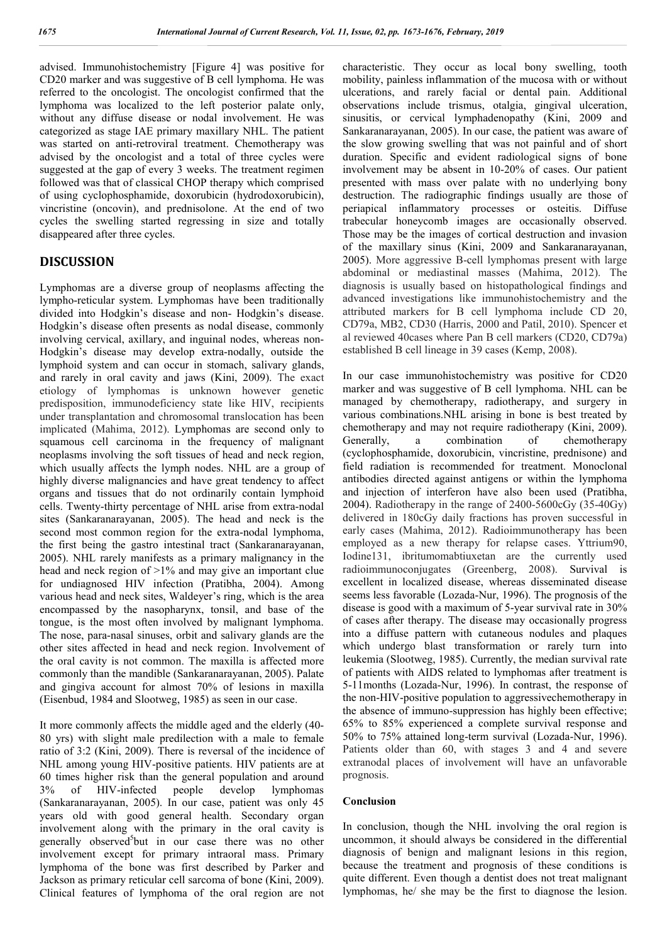advised. Immunohistochemistry [Figure 4] was positive for CD20 marker and was suggestive of B cell lymphoma. He was referred to the oncologist. The oncologist confirmed that the lymphoma was localized to the left posterior palate only, without any diffuse disease or nodal involvement. He was categorized as stage IAE primary maxillary NHL. The patient was started on anti-retroviral treatment. Chemotherapy was advised by the oncologist and a total of three cycles were suggested at the gap of every 3 weeks. The treatment regimen followed was that of classical CHOP therapy which comprised of using cyclophosphamide, doxorubicin (hydrodoxorubicin), vincristine (oncovin), and prednisolone. At the end of two cycles the swelling started regressing in size and totally disappeared after three cycles.

## **DISCUSSION**

Lymphomas are a diverse group of neoplasms affecting the lympho-reticular system. Lymphomas have been traditionally divided into Hodgkin's disease and non- Hodgkin's disease. Hodgkin's disease often presents as nodal disease, commonly involving cervical, axillary, and inguinal nodes, whereas non-Hodgkin's disease may develop extra-nodally, outside the lymphoid system and can occur in stomach, salivary glands, and rarely in oral cavity and jaws (Kini, 2009). The exact etiology of lymphomas is unknown however genetic predisposition, immunodeficiency state like HIV, recipients under transplantation and chromosomal translocation has been implicated (Mahima, 2012). Lymphomas are second only to squamous cell carcinoma in the frequency of malignant neoplasms involving the soft tissues of head and neck region, which usually affects the lymph nodes. NHL are a group of highly diverse malignancies and have great tendency to affect organs and tissues that do not ordinarily contain lymphoid cells. Twenty-thirty percentage of NHL arise from extra-nodal sites (Sankaranarayanan, 2005). The head and neck is the second most common region for the extra-nodal lymphoma, the first being the gastro intestinal tract (Sankaranarayanan, 2005). NHL rarely manifests as a primary malignancy in the head and neck region of  $>1\%$  and may give an important clue for undiagnosed HIV infection (Pratibha, 2004). Among various head and neck sites, Waldeyer's ring, which is the area encompassed by the nasopharynx, tonsil, and base of the tongue, is the most often involved by malignant lymphoma. The nose, para-nasal sinuses, orbit and salivary glands are the other sites affected in head and neck region. Involvement of the oral cavity is not common. The maxilla is affected more commonly than the mandible (Sankaranarayanan, 2005). Palate and gingiva account for almost 70% of lesions in maxilla (Eisenbud, 1984 and Slootweg, 1985) as seen in our case.

It more commonly affects the middle aged and the elderly (40- 80 yrs) with slight male predilection with a male to female ratio of 3:2 (Kini, 2009). There is reversal of the incidence of NHL among young HIV-positive patients. HIV patients are at 60 times higher risk than the general population and around 3% of HIV-infected people develop lymphomas (Sankaranarayanan, 2005). In our case, patient was only 45 years old with good general health. Secondary organ involvement along with the primary in the oral cavity is generally observed<sup>5</sup>but in our case there was no other involvement except for primary intraoral mass. Primary lymphoma of the bone was first described by Parker and Jackson as primary reticular cell sarcoma of bone (Kini, 2009). Clinical features of lymphoma of the oral region are not

characteristic. They occur as local bony swelling, tooth mobility, painless inflammation of the mucosa with or without ulcerations, and rarely facial or dental pain. Additional observations include trismus, otalgia, gingival ulceration, sinusitis, or cervical lymphadenopathy (Kini, 2009 and Sankaranarayanan, 2005). In our case, the patient was aware of the slow growing swelling that was not painful and of short duration. Specific and evident radiological signs of bone involvement may be absent in 10-20% of cases. Our patient presented with mass over palate with no underlying bony destruction. The radiographic findings usually are those of periapical inflammatory processes or osteitis. Diffuse trabecular honeycomb images are occasionally observed. Those may be the images of cortical destruction and invasion of the maxillary sinus (Kini, 2009 and Sankaranarayanan, 2005). More aggressive B-cell lymphomas present with large abdominal or mediastinal masses (Mahima, 2012). The diagnosis is usually based on histopathological findings and advanced investigations like immunohistochemistry and the attributed markers for B cell lymphoma include CD 20, CD79a, MB2, CD30 (Harris, 2000 and Patil, 2010). Spencer et al reviewed 40cases where Pan B cell markers (CD20, CD79a) established B cell lineage in 39 cases (Kemp, 2008).

In our case immunohistochemistry was positive for CD20 marker and was suggestive of B cell lymphoma. NHL can be managed by chemotherapy, radiotherapy, and surgery in various combinations.NHL arising in bone is best treated by chemotherapy and may not require radiotherapy (Kini, 2009). Generally, a combination of chemotherapy (cyclophosphamide, doxorubicin, vincristine, prednisone) and field radiation is recommended for treatment. Monoclonal antibodies directed against antigens or within the lymphoma and injection of interferon have also been used (Pratibha, 2004). Radiotherapy in the range of 2400-5600cGy (35-40Gy) delivered in 180cGy daily fractions has proven successful in early cases (Mahima, 2012). Radioimmunotherapy has been employed as a new therapy for relapse cases. Yttrium90, Iodine131, ibritumomabtiuxetan are the currently used radioimmunoconjugates (Greenberg, 2008). Survival is excellent in localized disease, whereas disseminated disease seems less favorable (Lozada-Nur, 1996). The prognosis of the disease is good with a maximum of 5-year survival rate in 30% of cases after therapy. The disease may occasionally progress into a diffuse pattern with cutaneous nodules and plaques which undergo blast transformation or rarely turn into leukemia (Slootweg, 1985). Currently, the median survival rate of patients with AIDS related to lymphomas after treatment is 5-11months (Lozada-Nur, 1996). In contrast, the response of the non-HIV-positive population to aggressivechemotherapy in the absence of immuno-suppression has highly been effective; 65% to 85% experienced a complete survival response and 50% to 75% attained long-term survival (Lozada-Nur, 1996). Patients older than 60, with stages 3 and 4 and severe extranodal places of involvement will have an unfavorable prognosis.

#### **Conclusion**

In conclusion, though the NHL involving the oral region is uncommon, it should always be considered in the differential diagnosis of benign and malignant lesions in this region, because the treatment and prognosis of these conditions is quite different. Even though a dentist does not treat malignant lymphomas, he/ she may be the first to diagnose the lesion.